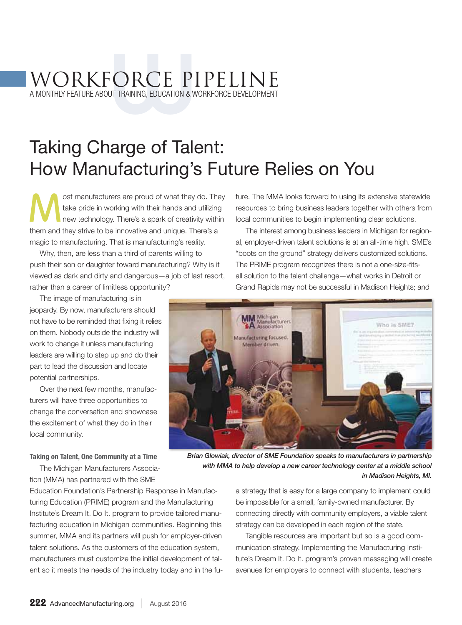# WORKFORCE PIPELINE WORKFORCE PIPELINE<br>A monthly feature about training, education & workforce development

Taking Charge of Talent: How Manufacturing's Future Relies on You

ost manufacturers are proud of what they do. They take pride in working with their hands and utilizing new technology. There's a spark of creativity within them and they strive to be innovative and unique. There's a magic to manufacturing. That is manufacturing's reality.

Why, then, are less than a third of parents willing to push their son or daughter toward manufacturing? Why is it viewed as dark and dirty and dangerous—a job of last resort, rather than a career of limitless opportunity?

The image of manufacturing is in jeopardy. By now, manufacturers should not have to be reminded that fixing it relies on them. Nobody outside the industry will work to change it unless manufacturing leaders are willing to step up and do their part to lead the discussion and locate potential partnerships.

Over the next few months, manufacturers will have three opportunities to change the conversation and showcase the excitement of what they do in their local community.

ture. The MMA looks forward to using its extensive statewide resources to bring business leaders together with others from local communities to begin implementing clear solutions.

The interest among business leaders in Michigan for regional, employer-driven talent solutions is at an all-time high. SME's "boots on the ground" strategy delivers customized solutions. The PRIME program recognizes there is not a one-size-fitsall solution to the talent challenge—what works in Detroit or Grand Rapids may not be successful in Madison Heights; and



*Brian Glowiak, director of SME Foundation speaks to manufacturers in partnership with MMA to help develop a new career technology center at a middle school in Madison Heights, MI.*

Taking on Talent, One Community at a Time The Michigan Manufacturers Associa-

tion (MMA) has partnered with the SME Education Foundation's Partnership Response in Manufacturing Education (PRIME) program and the Manufacturing Institute's Dream It. Do It. program to provide tailored manufacturing education in Michigan communities. Beginning this summer, MMA and its partners will push for employer-driven talent solutions. As the customers of the education system, manufacturers must customize the initial development of talent so it meets the needs of the industry today and in the fu-

a strategy that is easy for a large company to implement could be impossible for a small, family-owned manufacturer. By connecting directly with community employers, a viable talent strategy can be developed in each region of the state.

Tangible resources are important but so is a good communication strategy. Implementing the Manufacturing Institute's Dream It. Do It. program's proven messaging will create avenues for employers to connect with students, teachers